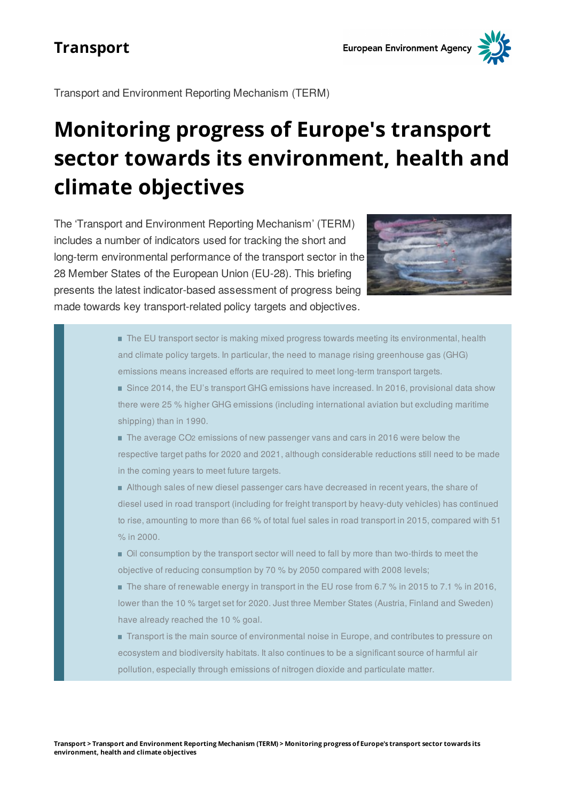Transport and Environment Reporting Mechanism (TERM)

# **Monitoring progress of Europe's transport sector towards its environment, health and climate objectives**

The Transport and Environment Reporting Mechanism (TERM) includes a number of indicators used for tracking the short and long-term environmental performance of the transport sector in the 28 Member States of the European Union (EU-28). This briefing presents the latest indicator-based assessment of progress being made towards key transport-related policy targets and objectives.



- The EU transport sector is making mixed progress towards meeting its environmental, health and climate policy targets. In particular, the need to manage rising greenhouse gas (GHG) emissions means increased efforts are required to meet long-term transport targets.
- Since 2014, the EU's transport GHG emissions have increased. In 2016, provisional data show there were 25 % higher GHG emissions (including international aviation but excluding maritime shipping) than in 1990.
- The average CO2 emissions of new passenger vans and cars in 2016 were below the respective target paths for 2020 and 2021, although considerable reductions still need to be made in the coming years to meet future targets.
- Although sales of new diesel passenger cars have decreased in recent years, the share of diesel used in road transport (including for freight transport by heavy-duty vehicles) has continued to rise, amounting to more than 66 % of total fuel sales in road transport in 2015, compared with 51 % in 2000.
- Oil consumption by the transport sector will need to fall by more than two-thirds to meet the objective of reducing consumption by 70 % by 2050 compared with 2008 levels;
- The share of renewable energy in transport in the EU rose from 6.7 % in 2015 to 7.1 % in 2016, lower than the 10 % target set for 2020. Just three Member States (Austria, Finland and Sweden) have already reached the 10 % goal.
- Transport is the main source of environmental noise in Europe, and contributes to pressure on ecosystem and biodiversity habitats. It also continues to be a significant source of harmful air pollution, especially through emissions of nitrogen dioxide and particulate matter.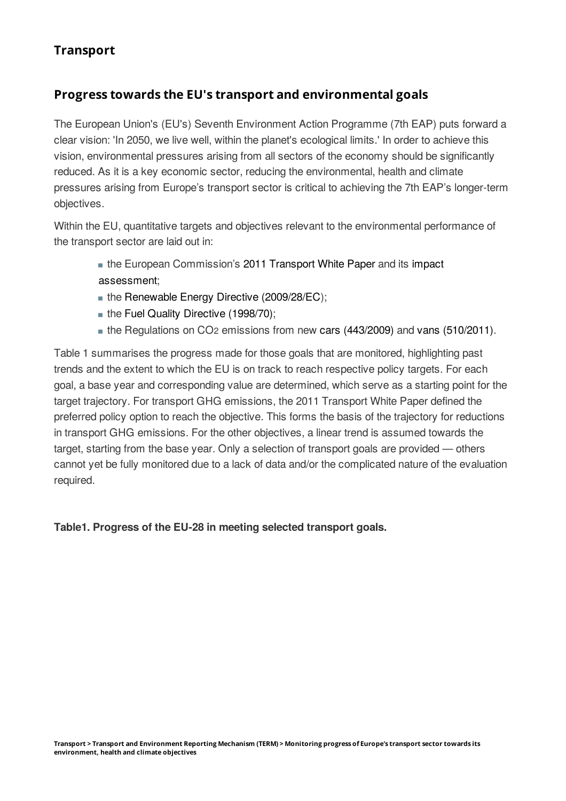#### **Progress towards the EU's transport and environmental goals**

The European Union's (EU's) Seventh Environment Action Programme (7th EAP) puts forward a clear vision: 'In 2050, we live well, within the planet's ecological limits.' In order to achieve this vision, environmental pressures arising from all sectors of the economy should be significantly reduced. As it is a key economic sector, reducing the environmental, health and climate pressures arising from Europe's transport sector is critical to achieving the 7th EAP's longer-term objectives.

Within the EU, quantitative targets and objectives relevant to the environmental performance of the transport sector are laid out in:

- the European Commission's 2011 [Transport](http://eur-lex.europa.eu/legal-content/EN/ALL/?uri=CELEX:52011DC0144) White Paper and its impact assessment;
- the Renewable Energy Directive [\(2009/28/EC](http://eur-lex.europa.eu/legal-content/EN/ALL/?uri=celex%3A32009L0028));
- the Fuel Quality Directive [\(1998/70\)](http://eur-lex.europa.eu/legal-content/EN/TXT/?uri=celex%3A32015L1513);
- the Regulations on CO<sub>2</sub> emissions from new cars [\(443/2009\)](http://eur-lex.europa.eu/legal-content/EN/TXT/?qid=1509352410205&uri=CELEX:32009R0443) and vans [\(510/2011\)](http://eur-lex.europa.eu/legal-content/EN/TXT/?uri=celex%3A32011R0510).

Table 1 summarises the progress made for those goals that are monitored, highlighting past trends and the extent to which the EU is on track to reach respective policy targets. For each goal, a base year and corresponding value are determined, which serve as a starting point for the target trajectory. For transport GHG emissions, the 2011 Transport White Paper defined the preferred policy option to reach the objective. This forms the basis of the trajectory for reductions in transport GHG emissions. For the other objectives, a linear trend is assumed towards the target, starting from the base year. Only a selection of transport goals are provided — others cannot yet be fully monitored due to a lack of data and/or the complicated nature of the evaluation required.

**Table1. Progress of the EU-28 in meeting selected transport goals.**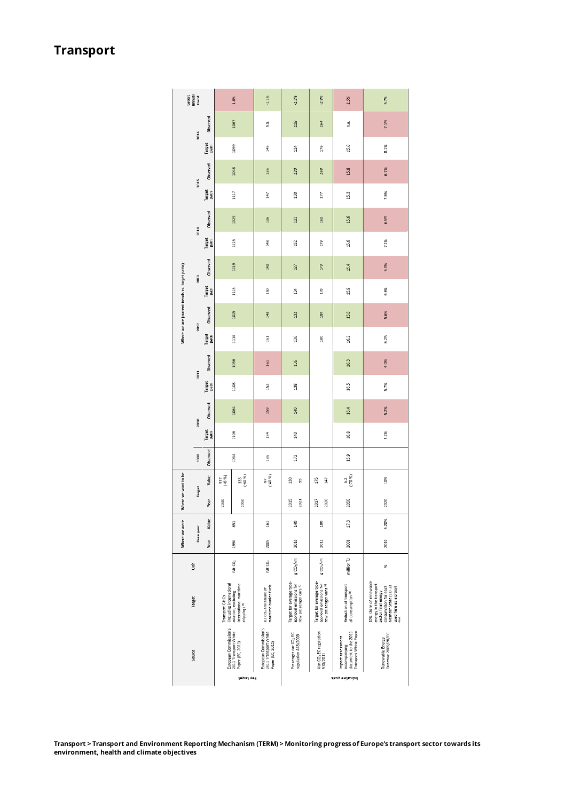| Latest<br>annual<br>trend                      |                  |                 | 1.8%                                                                                                                    | $-1.1%$  | $-1.2%$                                                           | $-2.8%$                                                                      | 15%                                                                         | 5.7%                                                                                      |                                                                                                                                                          |
|------------------------------------------------|------------------|-----------------|-------------------------------------------------------------------------------------------------------------------------|----------|-------------------------------------------------------------------|------------------------------------------------------------------------------|-----------------------------------------------------------------------------|-------------------------------------------------------------------------------------------|----------------------------------------------------------------------------------------------------------------------------------------------------------|
| Where we are (current trends vs. target paths) | 2016             | Observed        | 1067                                                                                                                    |          | ć,                                                                | 118                                                                          | 164                                                                         | n.a.                                                                                      | 7.1%                                                                                                                                                     |
|                                                |                  | Target<br>path  | 1099                                                                                                                    |          | 145                                                               | $^{124}$                                                                     | 176                                                                         | 15.0                                                                                      | 8.1%                                                                                                                                                     |
|                                                | 2015             | Observed        | Stylt                                                                                                                   |          | 135                                                               | 220                                                                          | 168                                                                         | 15.8                                                                                      | 6.7%                                                                                                                                                     |
|                                                |                  | Target<br>path  | 117                                                                                                                     |          | 147                                                               | 30                                                                           | 177                                                                         | 15.3                                                                                      | 7.6%                                                                                                                                                     |
|                                                | 2014             | Observed        | 1029                                                                                                                    |          | 136                                                               | 123                                                                          | 369                                                                         | 15.6                                                                                      | 6.5%                                                                                                                                                     |
|                                                |                  | Target<br>path  | Ë                                                                                                                       |          | $\frac{48}{3}$                                                    | 32                                                                           | 178                                                                         | 15.6                                                                                      | 7.1%                                                                                                                                                     |
|                                                | 2013             | Observed        | 1019                                                                                                                    |          | 140                                                               | 127                                                                          | 173                                                                         | 15.4                                                                                      | 5.9%                                                                                                                                                     |
|                                                |                  | Target<br>path  | 1113                                                                                                                    |          | 150                                                               | $\frac{34}{134}$                                                             | 179                                                                         | $^{5.9}$                                                                                  | 6.6%                                                                                                                                                     |
|                                                | 2012             | Observed        |                                                                                                                         | 1025     | 148                                                               | 132                                                                          | 180                                                                         | 15.6                                                                                      | 5.6%                                                                                                                                                     |
|                                                |                  | Target<br>pach  |                                                                                                                         | 1110     | 151                                                               | 286                                                                          | 380                                                                         | 16.2                                                                                      | 6.2%                                                                                                                                                     |
|                                                | 2011             | Observed        |                                                                                                                         | 1056     | 161                                                               | 156                                                                          |                                                                             | 16.3                                                                                      | 4.0%                                                                                                                                                     |
|                                                | 2010             | Target<br>path  |                                                                                                                         | 1108     | 152                                                               | 138                                                                          |                                                                             | 16.5                                                                                      | 5.7%                                                                                                                                                     |
|                                                |                  | Observed        | 1064                                                                                                                    |          | 159                                                               | 340                                                                          |                                                                             | 16.4                                                                                      | 5.2%                                                                                                                                                     |
|                                                |                  | Target<br>parth | 1106                                                                                                                    |          | 154                                                               | 3                                                                            |                                                                             | 16.8                                                                                      | 5.2%                                                                                                                                                     |
| Where we want to be                            | 2000             | Observed        | FEOT                                                                                                                    |          | 135                                                               | 172                                                                          |                                                                             | $^{15.9}$                                                                                 |                                                                                                                                                          |
|                                                | Target           | Value           | 917<br>(48 %)                                                                                                           | 98<br>CB | 55<br>인구의<br>인                                                    | 30<br>S                                                                      | Š<br>147                                                                    | 52<br>18                                                                                  | Š                                                                                                                                                        |
|                                                |                  | Year            | 2030                                                                                                                    | 2050     |                                                                   | 2015<br>2021                                                                 | 2020<br>2017                                                                | 2050                                                                                      | 2020                                                                                                                                                     |
| Where we were                                  | <b>Base year</b> | Value           |                                                                                                                         | 53       | 161                                                               | 9                                                                            | 180                                                                         | 17,3                                                                                      | 5,20%                                                                                                                                                    |
|                                                |                  | Year            | 1990                                                                                                                    |          | 2005                                                              | 2010                                                                         | 2012                                                                        | 2008                                                                                      | 2010                                                                                                                                                     |
| š                                              |                  |                 | Mt CD <sub>2</sub>                                                                                                      |          | Mt CO <sub>3</sub>                                                | g CO <sub>2</sub> /lom                                                       | g 00;/km                                                                    | million <sub>TJ</sub>                                                                     | æ                                                                                                                                                        |
| Target<br>Source                               |                  |                 | (including international<br>international maritime<br>aviation, excluding<br>Transport GHGs<br>shipping) <sup>(b)</sup> |          | maritime bunker fuels<br>EU CD <sub>2</sub> emissions of          | Target for average type-<br>approval emissions for<br>new passenger cars (a) | Target for average type-<br>approval emissions for<br>new passenger vans in | Reduction of transport<br>all consumption <sup>(b)</sup>                                  | 10% share of renewable<br>energy in the transport<br>Member State (EU-28<br>consumption for each<br>used here as a proxyl<br>Islo<br>sector final energy |
|                                                |                  |                 | European Commission's<br>2011 Transport White<br>Paper (EC, 2011)                                                       |          | European Commission's<br>2011 Transport White<br>Paper (EC, 2011) | Passenger car CO <sub>2</sub> EC<br>regulation 443/2009                      | Van CO <sub>2</sub> EC regulation<br>510/2011                               | <b>Fransport White Paper</b><br>document to the 2011<br>Impact assessment<br>accompanying | Directive 2009/28/EC<br>Renewable Energy                                                                                                                 |
|                                                |                  |                 | ya8uez Aay                                                                                                              |          |                                                                   | Indicative goals                                                             |                                                                             |                                                                                           |                                                                                                                                                          |

Transport > Transport and Environment Reporting Mechanism (TERM) > Monitoring progress of Europe's transport sector towards its **environment, health and climate objectives**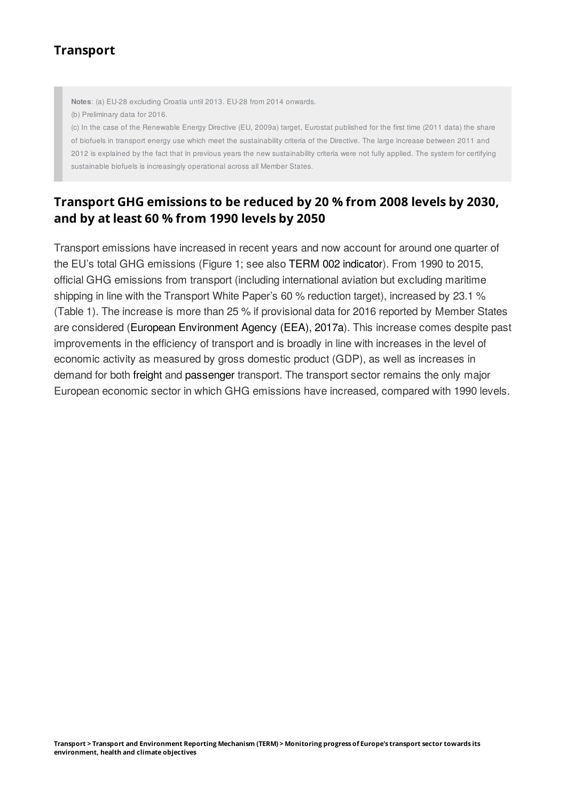**Notes**: (a) EU-28 excluding Croatia until 2013. EU-28 from 2014 onwards.

(b) Preliminary data for 2016.

(c) In the case of the Renewable Energy Directive (EU, 2009a) target, Eurostat published for the first time (2011 data) the share of biofuels in transport energy use which meet the sustainability criteria of the Directive. The large increase between 2011 and 2012 is explained by the fact that in previous years the new sustainability criteria were not fully applied. The system for certifying sustainable biofuels is increasingly operational across all Member States.

# **Transport GHG emissions to be reduced by 20 % from 2008 levels by 2030, and by at least 60 % from 1990 levels by 2050**

Transport emissions have increased in recent years and now account for around one quarter of the EU's total GHG emissions (Figure 1; see also TERM 002 [indicator](https://www.eea.europa.eu/ds_resolveuid/IND-111-en)). From 1990 to 2015, official GHG emissions from transport (including international aviation but excluding maritime shipping in line with the Transport White Paper's 60 % reduction target), increased by 23.1 % (Table 1). The increase is more than 25 % if provisional data for 2016 reported by Member States are considered (European [Environment](https://www.eea.europa.eu/themes/climate/approximated-greenhouse-gas-emissions/approximated-greenhouse-gas-emissions-in-2016) Agency (EEA), 2017a). This increase comes despite past improvements in the efficiency of transport and is broadly in line with increases in the level of economic activity as measured by gross domestic product (GDP), as well as increases in demand for both [freight](https://www.eea.europa.eu/ds_resolveuid/IND-36-en) and [passenger](https://www.eea.europa.eu/ds_resolveuid/99644c50-6408-11e3-949a-0800200c9a66) transport. The transport sector remains the only major European economic sector in which GHG emissions have increased, compared with 1990 levels.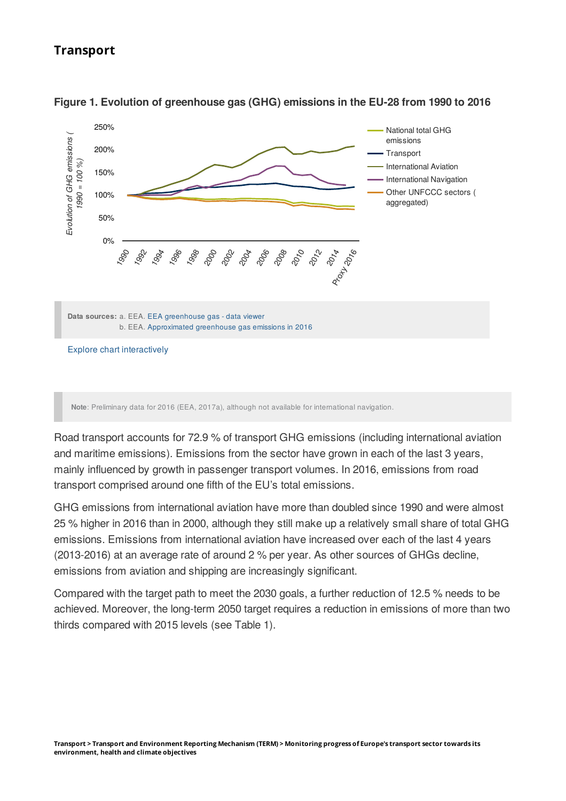



**Note**: Preliminary data for 2016 (EEA, 2017a), although not available for international navigation.

Road transport accounts for 72.9 % of transport GHG emissions (including international aviation and maritime emissions). Emissions from the sector have grown in each of the last 3 years, mainly influenced by growth in passenger transport volumes. In 2016, emissions from road transport comprised around one fifth of the EU's total emissions.

GHG emissions from international aviation have more than doubled since 1990 and were almost 25 % higher in 2016 than in 2000, although they still make up a relatively small share of total GHG emissions. Emissions from international aviation have increased over each of the last 4 years (2013-2016) at an average rate of around 2 % per year. As other sources of GHGs decline, emissions from aviation and shipping are increasingly significant.

Compared with the target path to meet the 2030 goals, a further reduction of 12.5 % needs to be achieved. Moreover, the long-term 2050 target requires a reduction in emissions of more than two thirds compared with 2015 levels (see Table 1).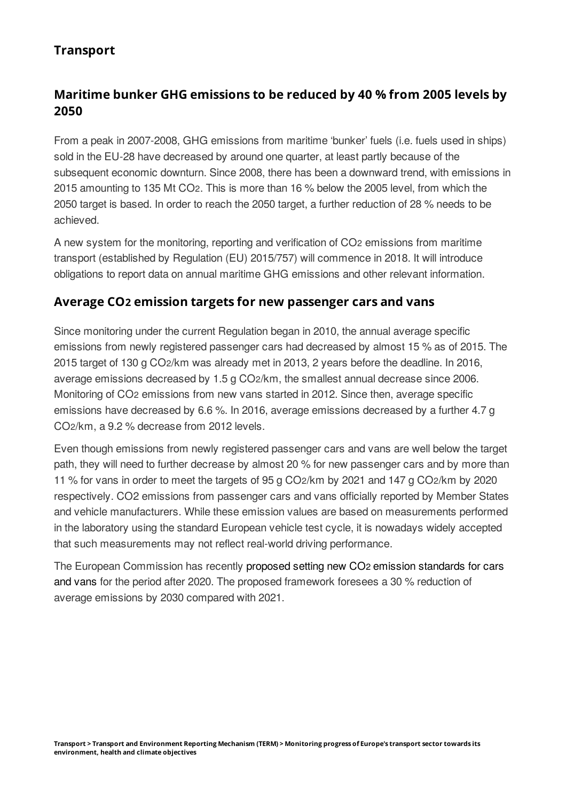# **Maritime bunker GHG emissions to be reduced by 40 % from 2005 levels by 2050**

From a peak in 2007-2008, GHG emissions from maritime 'bunker' fuels (i.e. fuels used in ships) sold in the EU‑28 have decreased by around one quarter, at least partly because of the subsequent economic downturn. Since 2008, there has been a downward trend, with emissions in 2015 amounting to 135 Mt CO2. This is more than 16 % below the 2005 level, from which the 2050 target is based. In order to reach the 2050 target, a further reduction of 28 % needs to be achieved.

A new system for the monitoring, reporting and verification of CO<sub>2</sub> emissions from maritime transport (established by Regulation (EU) 2015/757) will commence in 2018. It will introduce obligations to report data on annual maritime GHG emissions and other relevant information.

#### **Average CO emission targets for new passenger cars and vans 2**

Since monitoring under the current Regulation began in 2010, the annual average specific emissions from newly registered passenger cars had decreased by almost 15 % as of 2015. The 2015 target of 130 g CO $2/km$  was already met in 2013, 2 years before the deadline. In 2016, average emissions decreased by 1.5 g CO2/km, the smallest annual decrease since 2006. Monitoring of CO2 emissions from new vans started in 2012. Since then, average specific emissions have decreased by 6.6 %. In 2016, average emissions decreased by a further 4.7 g CO2/km, a 9.2 % decrease from 2012 levels.

Even though emissions from newly registered passenger cars and vans are well below the target path, they will need to further decrease by almost 20 % for new passenger cars and by more than 11 % for vans in order to meet the targets of  $95 g$  CO $2/km$  by 2021 and 147 g CO $2/km$  by 2020 respectively. CO2 emissions from passenger cars and vans officially reported by Member States and vehicle manufacturers. While these emission values are based on measurements performed in the laboratory using the standard European vehicle test cycle, it is nowadays widely accepted that such measurements may not reflect real-world driving performance.

The European [Commission](https://ec.europa.eu/clima/policies/transport/vehicles/proposal_en) has recently proposed setting new CO2 emission standards for cars and vans for the period after 2020. The proposed framework foresees a 30 % reduction of average emissions by 2030 compared with 2021.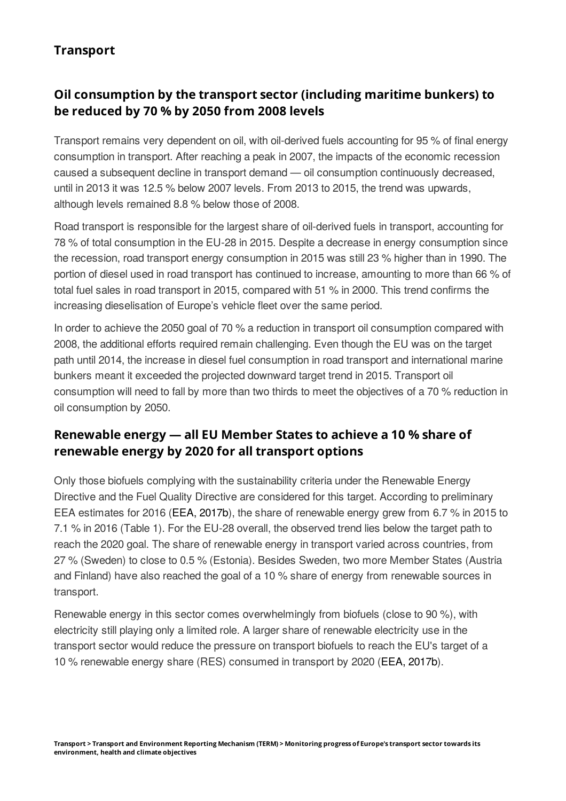# **Oil consumption by the transport sector (including maritime bunkers) to be reduced by 70 % by 2050 from 2008 levels**

Transport remains very dependent on oil, with oil-derived fuels accounting for 95 % of final energy consumption in transport. After reaching a peak in 2007, the impacts of the economic recession caused a subsequent decline in transport demand – oil consumption continuously decreased. until in 2013 it was 12.5 % below 2007 levels. From 2013 to 2015, the trend was upwards, although levels remained 8.8 % below those of 2008.

Road transport is responsible for the largest share of oil-derived fuels in transport, accounting for 78 % of total consumption in the EU-28 in 2015. Despite a decrease in energy consumption since the recession, road transport energy consumption in 2015 was still 23 % higher than in 1990. The portion of diesel used in road transport has continued to increase, amounting to more than 66 % of total fuel sales in road transport in 2015, compared with 51 % in 2000. This trend confirms the increasing dieselisation of Europe's vehicle fleet over the same period.

In order to achieve the 2050 goal of 70 % a reduction in transport oil consumption compared with 2008, the additional efforts required remain challenging. Even though the EU was on the target path until 2014, the increase in diesel fuel consumption in road transport and international marine bunkers meant it exceeded the projected downward target trend in 2015. Transport oil consumption will need to fall by more than two thirds to meet the objectives of a 70 % reduction in oil consumption by 2050.

## **Renewable energy — all EU Member States to achieve a 10 % share of renewable energy by 2020 for all transport options**

Only those biofuels complying with the sustainability criteria under the Renewable Energy Directive and the Fuel Quality Directive are considered for this target. According to preliminary EEA estimates for 2016 (EEA, [2017b](https://www.eea.europa.eu/publications/renewable-energy-in-europe-2017)), the share of renewable energy grew from 6.7 % in 2015 to 7.1 % in 2016 (Table 1). For the EU-28 overall, the observed trend lies below the target path to reach the 2020 goal. The share of renewable energy in transport varied across countries, from 27 % (Sweden) to close to 0.5 % (Estonia). Besides Sweden, two more Member States (Austria and Finland) have also reached the goal of a 10 % share of energy from renewable sources in transport.

Renewable energy in this sector comes overwhelmingly from biofuels (close to 90 %), with electricity still playing only a limited role. A larger share of renewable electricity use in the transport sector would reduce the pressure on transport biofuels to reach the EU's target of a 10 % renewable energy share (RES) consumed in transport by 2020 (EEA, [2017b](https://www.eea.europa.eu/publications/renewable-energy-in-europe-2017)).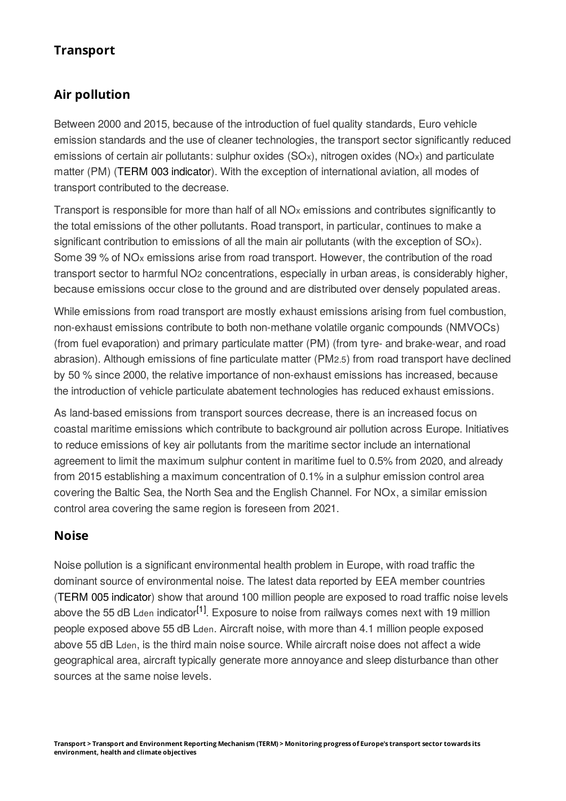# **Air pollution**

Between 2000 and 2015, because of the introduction of fuel quality standards, Euro vehicle emission standards and the use of cleaner technologies, the transport sector significantly reduced emissions of certain air pollutants: sulphur oxides (SO<sub>x</sub>), nitrogen oxides (NO<sub>x</sub>) and particulate matter (PM) (TERM 003 [indicator](https://www.eea.europa.eu/ds_resolveuid/IND-112-en)). With the exception of international aviation, all modes of transport contributed to the decrease.

Transport is responsible for more than half of all  $NOx$  emissions and contributes significantly to the total emissions of the other pollutants. Road transport, in particular, continues to make a significant contribution to emissions of all the main air pollutants (with the exception of  $SO<sub>x</sub>$ ). Some 39  $%$  of NO<sub>x</sub> emissions arise from road transport. However, the contribution of the road transport sector to harmful NO2 concentrations, especially in urban areas, is considerably higher, because emissions occur close to the ground and are distributed over densely populated areas.

While emissions from road transport are mostly exhaust emissions arising from fuel combustion, non-exhaust emissions contribute to both non-methane volatile organic compounds (NMVOCs) (from fuel evaporation) and primary particulate matter (PM) (from tyre- and brake-wear, and road abrasion). Although emissions of fine particulate matter (PM2.5) from road transport have declined by 50 % since 2000, the relative importance of non-exhaust emissions has increased, because the introduction of vehicle particulate abatement technologies has reduced exhaust emissions.

As land-based emissions from transport sources decrease, there is an increased focus on coastal maritime emissions which contribute to background air pollution across Europe. Initiatives to reduce emissions of key air pollutants from the maritime sector include an international agreement to limit the maximum sulphur content in maritime fuel to 0.5% from 2020, and already from 2015 establishing a maximum concentration of 0.1% in a sulphur emission control area covering the Baltic Sea, the North Sea and the English Channel. For NOx, a similar emission control area covering the same region is foreseen from 2021.

## **Noise**

Noise pollution is a significant environmental health problem in Europe, with road traffic the dominant source of environmental noise. The latest data reported by EEA member countries (TERM 005 [indicator](https://www.eea.europa.eu/ds_resolveuid/IND-233-en)) show that around 100 million people are exposed to road traffic noise levels above the 55 dB Lden indicator<sup>[\[1\]](#footnotes-and-references)</sup>. Exposure to noise from railways comes next with 19 million people exposed above 55 dB Lden. Aircraft noise, with more than 4.1 million people exposed above 55 dB Lden, is the third main noise source. While aircraft noise does not affect a wide geographical area, aircraft typically generate more annoyance and sleep disturbance than other sources at the same noise levels.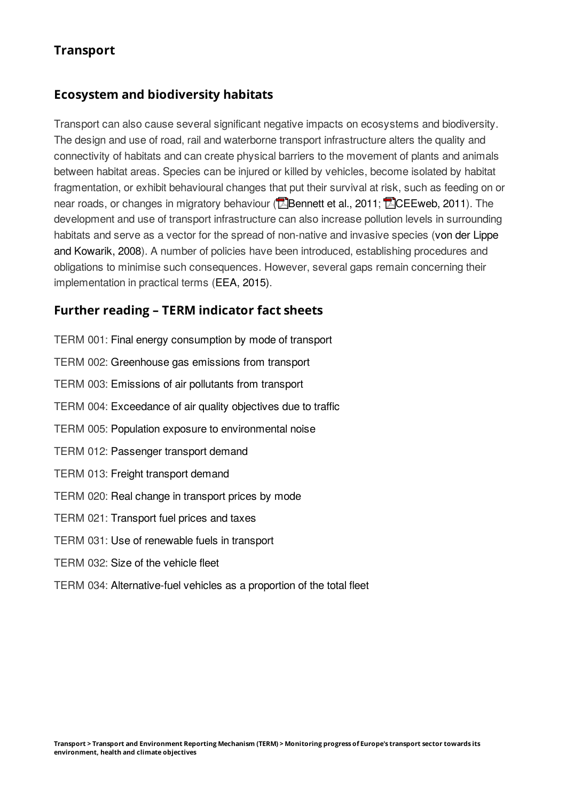#### **Ecosystem and biodiversity habitats**

Transport can also cause several significant negative impacts on ecosystems and biodiversity. The design and use of road, rail and waterborne transport infrastructure alters the quality and connectivity of habitats and can create physical barriers to the movement of plants and animals between habitat areas. Species can be injured or killed by vehicles, become isolated by habitat fragmentation, or exhibit behavioural changes that put their survival at risk, such as feeding on or near roads, or changes in migratory behaviour ( $\sqrt{2}$ [Bennett](http://www.fs.fed.us/pnw/pubs/pnw_gtr846.pdf) et al., 2011;  $\sqrt{2}$ [CEEweb,](http://www.ceeweb.org/wp-content/uploads/2011/12/landuse_factsheet_GI.pdf) 2011). The development and use of transport infrastructure can also increase pollution levels in surrounding habitats and serve as a vector for the spread of non-native and invasive species (von der Lippe and Kowarik, 2008). A number of policies have been introduced, [establishing](http://onlinelibrary.wiley.com/doi/10.1111/j.1472-4642.2007.00401.x/full) procedures and obligations to minimise such consequences. However, several gaps remain concerning their implementation in practical terms (EEA, [2015\)](https://www.eea.europa.eu/publications/term-report-2015).

#### **Further reading – TERM indicator fact sheets**

- TERM 001: Final energy [consumption](https://www.eea.europa.eu/ds_resolveuid/IND-113-en) by mode of transport TERM 002: [Greenhouse](https://www.eea.europa.eu/ds_resolveuid/IND-111-en) gas emissions from transport TERM 003: [Emissions](https://www.eea.europa.eu/ds_resolveuid/IND-112-en) of air pollutants from transport TERM 004: [Exceedance](https://www.eea.europa.eu/ds_resolveuid/IND-106-en) of air quality objectives due to traffic TERM 005: Population exposure to [environmental](https://www.eea.europa.eu/ds_resolveuid/IND-233-en) noise TERM 012: [Passenger](https://www.eea.europa.eu/ds_resolveuid/99644c50-6408-11e3-949a-0800200c9a66) transport demand TERM 013: Freight [transport](https://www.eea.europa.eu/ds_resolveuid/IND-36-en) demand TERM 020: Real change in [transport](https://www.eea.europa.eu/ds_resolveuid/IND-173-en) prices by mode TERM 021: [Transport](https://www.eea.europa.eu/ds_resolveuid/IND-114-en) fuel prices and taxes TERM 031: Use of [renewable](https://www.eea.europa.eu/ds_resolveuid/IND-28-en) fuels in transport TERM 032: Size of the [vehicle](https://www.eea.europa.eu/ds_resolveuid/IND-141-en) fleet
- TERM 034: [Alternative-fuel](https://www.eea.europa.eu/ds_resolveuid/IND-108-en) vehicles as a proportion of the total fleet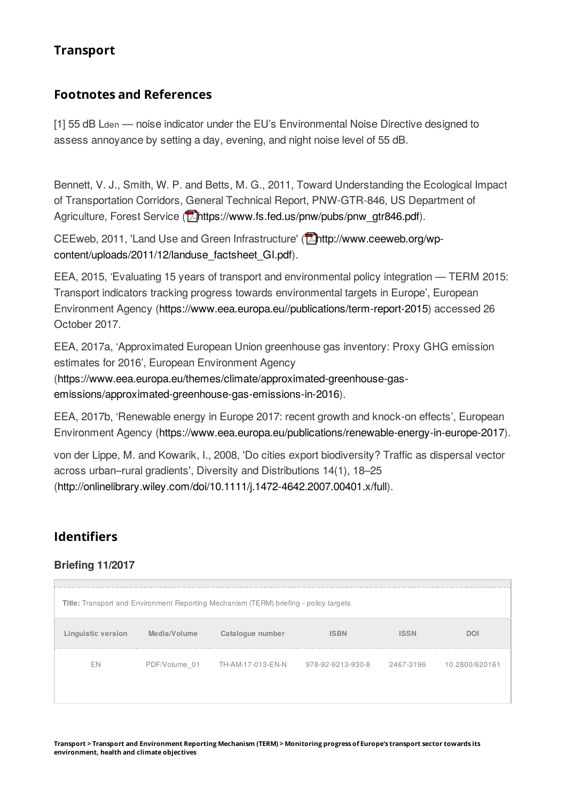#### **Footnotes and References**

[1] 55 dB Lden — noise indicator under the EU's Environmental Noise Directive designed to assess annoyance by setting a day, evening, and night noise level of 55 dB.

Bennett, V. J., Smith, W. P. and Betts, M. G., 2011, Toward Understanding the Ecological Impact of Transportation Corridors, General Technical Report, PNW-GTR-846, US Department of Agriculture, Forest Service (**Mhttps://www.fs.fed.us/pnw/pubs/pnw\_gtr846.pdf**).

CEEweb, 2011, 'Land Use and Green Infrastructure' (Mhttp://www.ceeweb.org/wpcontent/uploads/2011/12/landuse factsheet GI.pdf).

EEA, 2015, 'Evaluating 15 years of transport and environmental policy integration — TERM 2015: Transport indicators tracking progress towards environmental targets in Europe', European Environment Agency [\(https://www.eea.europa.eu//publications/term-report-2015](https://www.eea.europa.eu/publications/term-report-2015)) accessed 26 October 2017.

EEA, 2017a, 'Approximated European Union greenhouse gas inventory: Proxy GHG emission estimates for 2016', European Environment Agency

[\(https://www.eea.europa.eu/themes/climate/approximated-greenhouse-gas](https://www.eea.europa.eu/themes/climate/approximated-greenhouse-gas-emissions/approximated-greenhouse-gas-emissions-in-2016)emissions/approximated-greenhouse-gas-emissions-in-2016).

EEA, 2017b, 'Renewable energy in Europe 2017: recent growth and knock-on effects', European Environment Agency [\(https://www.eea.europa.eu/publications/renewable-energy-in-europe-2017](https://www.eea.europa.eu/publications/renewable-energy-in-europe-2017)).

von der Lippe, M. and Kowarik, I., 2008, 'Do cities export biodiversity? Traffic as dispersal vector across urban-rural gradients', Diversity and Distributions 14(1), 18-25 [\(http://onlinelibrary.wiley.com/doi/10.1111/j.1472-4642.2007.00401.x/full](http://onlinelibrary.wiley.com/doi/10.1111/j.1472-4642.2007.00401.x/full)).

## **Identifiers**

#### **Briefing 11/2017**

| <b>Title:</b> Transport and Environment Reporting Mechanism (TERM) briefing - policy targets |              |                                                                            |             |      |     |  |  |  |  |  |  |
|----------------------------------------------------------------------------------------------|--------------|----------------------------------------------------------------------------|-------------|------|-----|--|--|--|--|--|--|
| Linguistic version                                                                           | Media/Volume | Catalogue number                                                           | <b>ISBN</b> | ISSN | DOI |  |  |  |  |  |  |
| ΗN                                                                                           |              | PDF/Volume 01 TH-AM-17-013-EN-N 978-92-9213-930-8 2467-3196 10.2800/620161 |             |      |     |  |  |  |  |  |  |

Transport > Transport and Environment Reporting Mechanism (TERM) > Monitoring progress of Europe's transport sector towards its **environment, health and climate objectives**